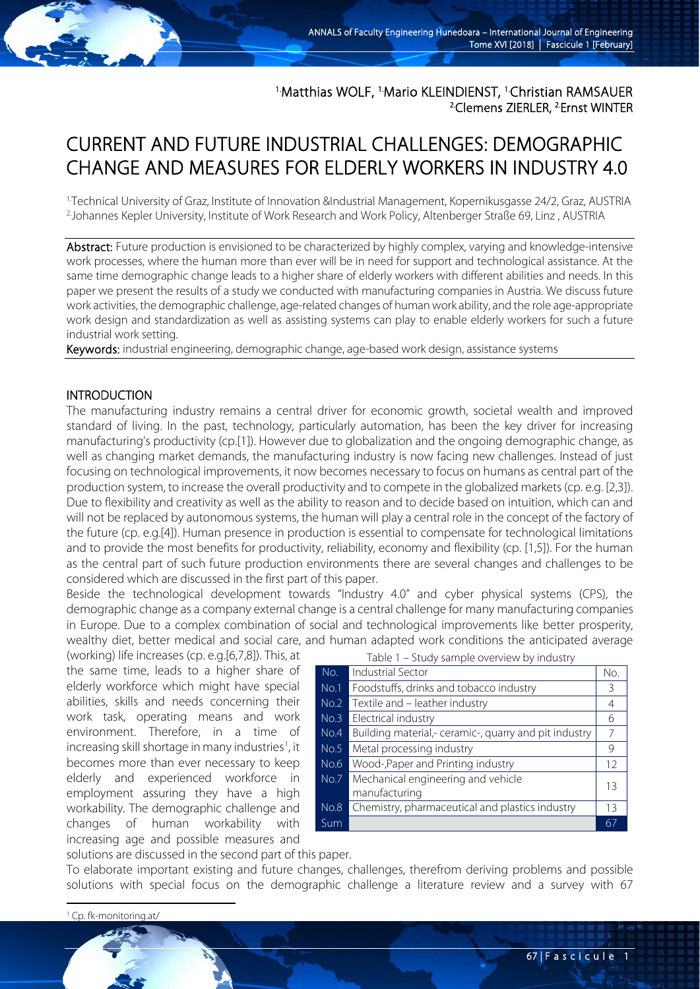<sup>1</sup>Matthias WOLF, <sup>1</sup>Mario KLEINDIENST, <sup>1</sup>Christian RAMSAUER <sup>2</sup>Clemens ZIERLER, <sup>2</sup>Ernst WINTER

# CURRENT AND FUTURE INDUSTRIAL CHALLENGES: DEMOGRAPHIC CHANGE AND MEASURES FOR ELDERLY WORKERS IN INDUSTRY 4.0

1. Technical University of Graz, Institute of Innovation &Industrial Management, Kopernikusgasse 24/2, Graz, AUSTRIA 2. Johannes Kepler University, Institute of Work Research and Work Policy, Altenberger Straße 69, Linz , AUSTRIA

Abstract: Future production is envisioned to be characterized by highly complex, varying and knowledge-intensive work processes, where the human more than ever will be in need for support and technological assistance. At the same time demographic change leads to a higher share of elderly workers with different abilities and needs. In this paper we present the results of a study we conducted with manufacturing companies in Austria. We discuss future work activities, the demographic challenge, age-related changes of human work ability, and the role age-appropriate work design and standardization as well as assisting systems can play to enable elderly workers for such a future industrial work setting.

Keywords: industrial engineering, demographic change, age-based work design, assistance systems

### INTRODUCTION

The manufacturing industry remains a central driver for economic growth, societal wealth and improved standard of living. In the past, technology, particularly automation, has been the key driver for increasing manufacturing's productivity (cp.[1]). However due to globalization and the ongoing demographic change, as well as changing market demands, the manufacturing industry is now facing new challenges. Instead of just focusing on technological improvements, it now becomes necessary to focus on humans as central part of the production system, to increase the overall productivity and to compete in the globalized markets (cp. e.g. [2,3]). Due to flexibility and creativity as well as the ability to reason and to decide based on intuition, which can and will not be replaced by autonomous systems, the human will play a central role in the concept of the factory of the future (cp. e.g.[4]). Human presence in production is essential to compensate for technological limitations and to provide the most benefits for productivity, reliability, economy and flexibility (cp. [1,5]). For the human as the central part of such future production environments there are several changes and challenges to be considered which are discussed in the first part of this paper.

Beside the technological development towards "Industry 4.0" and cyber physical systems (CPS), the demographic change as a company external change is a central challenge for many manufacturing companies in Europe. Due to a complex combination of social and technological improvements like better prosperity, wealthy diet, better medical and social care, and human adapted work conditions the anticipated average

(working) life increases (cp. e.g.[6,7,8]). This, at the same time, leads to a higher share of elderly workforce which might have special abilities, skills and needs concerning their work task, operating means and work environment. Therefore, in a time of increasing skill shortage in many industries<sup>[1](#page-0-0)</sup>, it becomes more than ever necessary to keep elderly and experienced workforce in employment assuring they have a high workability. The demographic challenge and changes of human workability with increasing age and possible measures and

| Table 1 – Study sample overview by industry |                                                       |     |
|---------------------------------------------|-------------------------------------------------------|-----|
| No.                                         | <b>Industrial Sector</b>                              | No. |
| No.1                                        | Foodstuffs, drinks and tobacco industry               | 3   |
| No.2                                        | Textile and – leather industry                        | 4   |
| No.3                                        | Electrical industry                                   | 6   |
| No.4                                        | Building material,- ceramic-, quarry and pit industry | 7   |
| No.5                                        | Metal processing industry                             | 9   |
| No.6                                        | Wood-, Paper and Printing industry                    | 12  |
| No.7                                        | Mechanical engineering and vehicle                    | 13  |
|                                             | manufacturing                                         |     |
| No.8                                        | Chemistry, pharmaceutical and plastics industry       | 13  |
| Sum                                         |                                                       | 67  |

solutions are discussed in the second part of this paper.

To elaborate important existing and future changes, challenges, therefrom deriving problems and possible solutions with special focus on the demographic challenge a literature review and a survey with 67

<span id="page-0-0"></span><sup>1</sup> Cp. fk-monitoring.at/

**.**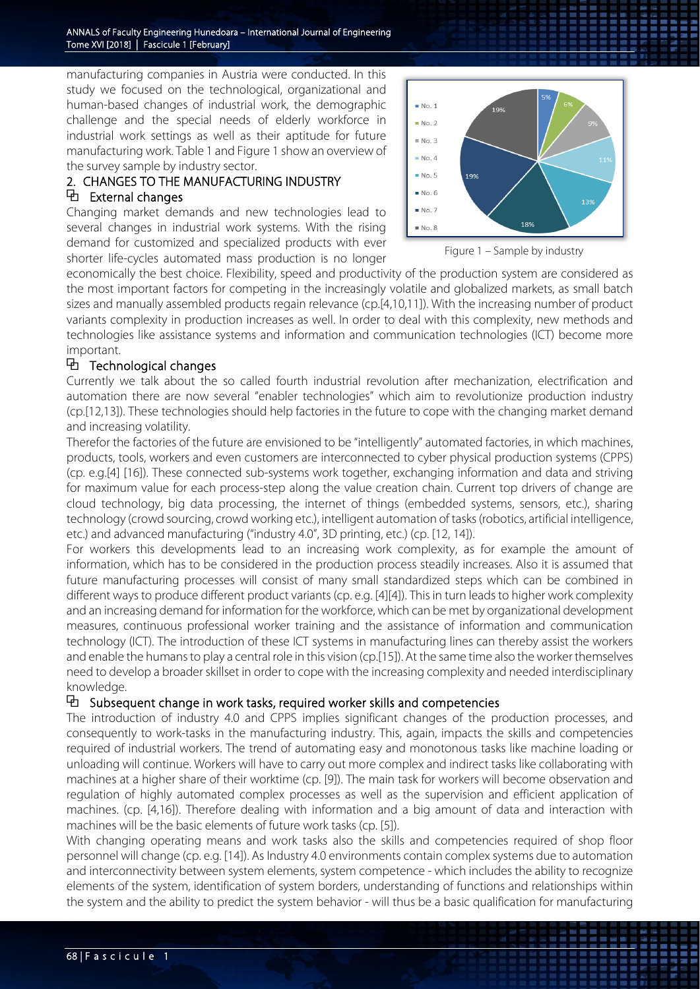manufacturing companies in Austria were conducted. In this study we focused on the technological, organizational and human-based changes of industrial work, the demographic challenge and the special needs of elderly workforce in industrial work settings as well as their aptitude for future manufacturing work. Table 1 and Figure 1 show an overview of the survey sample by industry sector.

# 2. CHANGES TO THE MANUFACTURING INDUSTRY ⧉ External changes

Changing market demands and new technologies lead to several changes in industrial work systems. With the rising demand for customized and specialized products with ever shorter life-cycles automated mass production is no longer



Figure 1 – Sample by industry

economically the best choice. Flexibility, speed and productivity of the production system are considered as the most important factors for competing in the increasingly volatile and globalized markets, as small batch sizes and manually assembled products regain relevance (cp.[4,10,11]). With the increasing number of product variants complexity in production increases as well. In order to deal with this complexity, new methods and technologies like assistance systems and information and communication technologies (ICT) become more important.

# ⧉ Technological changes

Currently we talk about the so called fourth industrial revolution after mechanization, electrification and automation there are now several "enabler technologies" which aim to revolutionize production industry (cp.[12,13]). These technologies should help factories in the future to cope with the changing market demand and increasing volatility.

Therefor the factories of the future are envisioned to be "intelligently" automated factories, in which machines, products, tools, workers and even customers are interconnected to cyber physical production systems (CPPS) (cp. e.g.[4] [16]). These connected sub-systems work together, exchanging information and data and striving for maximum value for each process-step along the value creation chain. Current top drivers of change are cloud technology, big data processing, the internet of things (embedded systems, sensors, etc.), sharing technology (crowd sourcing, crowd working etc.), intelligent automation of tasks (robotics, artificial intelligence, etc.) and advanced manufacturing ("industry 4.0", 3D printing, etc.) (cp. [12, 14]).

For workers this developments lead to an increasing work complexity, as for example the amount of information, which has to be considered in the production process steadily increases. Also it is assumed that future manufacturing processes will consist of many small standardized steps which can be combined in different ways to produce different product variants (cp. e.g. [4][4]). This in turn leads to higher work complexity and an increasing demand for information for the workforce, which can be met by organizational development measures, continuous professional worker training and the assistance of information and communication technology (ICT). The introduction of these ICT systems in manufacturing lines can thereby assist the workers and enable the humans to play a central role in this vision (cp.[15]). At the same time also the worker themselves need to develop a broader skillset in order to cope with the increasing complexity and needed interdisciplinary knowledge.

# $\Theta$  Subsequent change in work tasks, required worker skills and competencies

The introduction of industry 4.0 and CPPS implies significant changes of the production processes, and consequently to work-tasks in the manufacturing industry. This, again, impacts the skills and competencies required of industrial workers. The trend of automating easy and monotonous tasks like machine loading or unloading will continue. Workers will have to carry out more complex and indirect tasks like collaborating with machines at a higher share of their worktime (cp. [9]). The main task for workers will become observation and regulation of highly automated complex processes as well as the supervision and efficient application of machines. (cp. [4,16]). Therefore dealing with information and a big amount of data and interaction with machines will be the basic elements of future work tasks (cp. [5]).

With changing operating means and work tasks also the skills and competencies required of shop floor personnel will change (cp. e.g. [14]). As Industry 4.0 environments contain complex systems due to automation and interconnectivity between system elements, system competence - which includes the ability to recognize elements of the system, identification of system borders, understanding of functions and relationships within the system and the ability to predict the system behavior - will thus be a basic qualification for manufacturing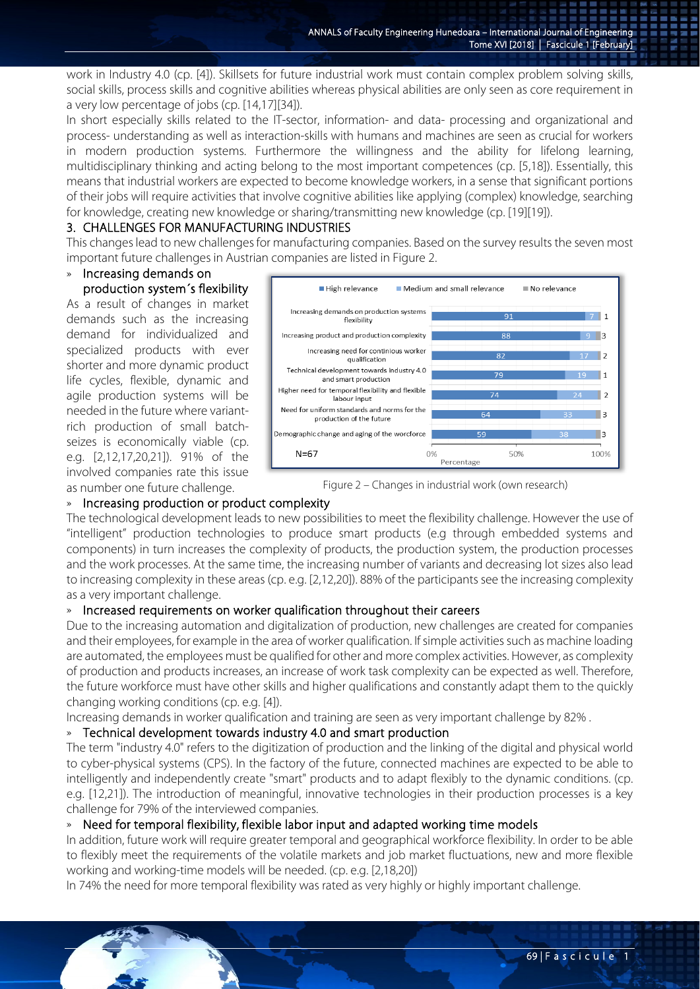work in Industry 4.0 (cp. [4]). Skillsets for future industrial work must contain complex problem solving skills, social skills, process skills and cognitive abilities whereas physical abilities are only seen as core requirement in a very low percentage of jobs (cp. [14,17][34]).

In short especially skills related to the IT-sector, information- and data- processing and organizational and process- understanding as well as interaction-skills with humans and machines are seen as crucial for workers in modern production systems. Furthermore the willingness and the ability for lifelong learning, multidisciplinary thinking and acting belong to the most important competences (cp. [5,18]). Essentially, this means that industrial workers are expected to become knowledge workers, in a sense that significant portions of their jobs will require activities that involve cognitive abilities like applying (complex) knowledge, searching for knowledge, creating new knowledge or sharing/transmitting new knowledge (cp. [19][19]).

### 3. CHALLENGES FOR MANUFACTURING INDUSTRIES

This changes lead to new challenges for manufacturing companies. Based on the survey results the seven most important future challenges in Austrian companies are listed in Figure 2.

# » Increasing demands on

production system´s flexibility As a result of changes in market demands such as the increasing demand for individualized and specialized products with ever shorter and more dynamic product life cycles, flexible, dynamic and agile production systems will be needed in the future where variantrich production of small batchseizes is economically viable (cp. e.g. [2,12,17,20,21]). 91% of the involved companies rate this issue as number one future challenge.



Figure 2 – Changes in industrial work (own research)

### » Increasing production or product complexity

The technological development leads to new possibilities to meet the flexibility challenge. However the use of "intelligent" production technologies to produce smart products (e.g through embedded systems and components) in turn increases the complexity of products, the production system, the production processes and the work processes. At the same time, the increasing number of variants and decreasing lot sizes also lead to increasing complexity in these areas (cp. e.g. [2,12,20]). 88% of the participants see the increasing complexity as a very important challenge.

# » Increased requirements on worker qualification throughout their careers

Due to the increasing automation and digitalization of production, new challenges are created for companies and their employees, for example in the area of worker qualification. If simple activities such as machine loading are automated, the employees must be qualified for other and more complex activities. However, as complexity of production and products increases, an increase of work task complexity can be expected as well. Therefore, the future workforce must have other skills and higher qualifications and constantly adapt them to the quickly changing working conditions (cp. e.g. [4]).

Increasing demands in worker qualification and training are seen as very important challenge by 82% .

### » Technical development towards industry 4.0 and smart production

The term "industry 4.0" refers to the digitization of production and the linking of the digital and physical world to cyber-physical systems (CPS). In the factory of the future, connected machines are expected to be able to intelligently and independently create "smart" products and to adapt flexibly to the dynamic conditions. (cp. e.g. [12,21]). The introduction of meaningful, innovative technologies in their production processes is a key challenge for 79% of the interviewed companies.

### » Need for temporal flexibility, flexible labor input and adapted working time models

In addition, future work will require greater temporal and geographical workforce flexibility. In order to be able to flexibly meet the requirements of the volatile markets and job market fluctuations, new and more flexible working and working-time models will be needed. (cp. e.g. [2,18,20])

In 74% the need for more temporal flexibility was rated as very highly or highly important challenge.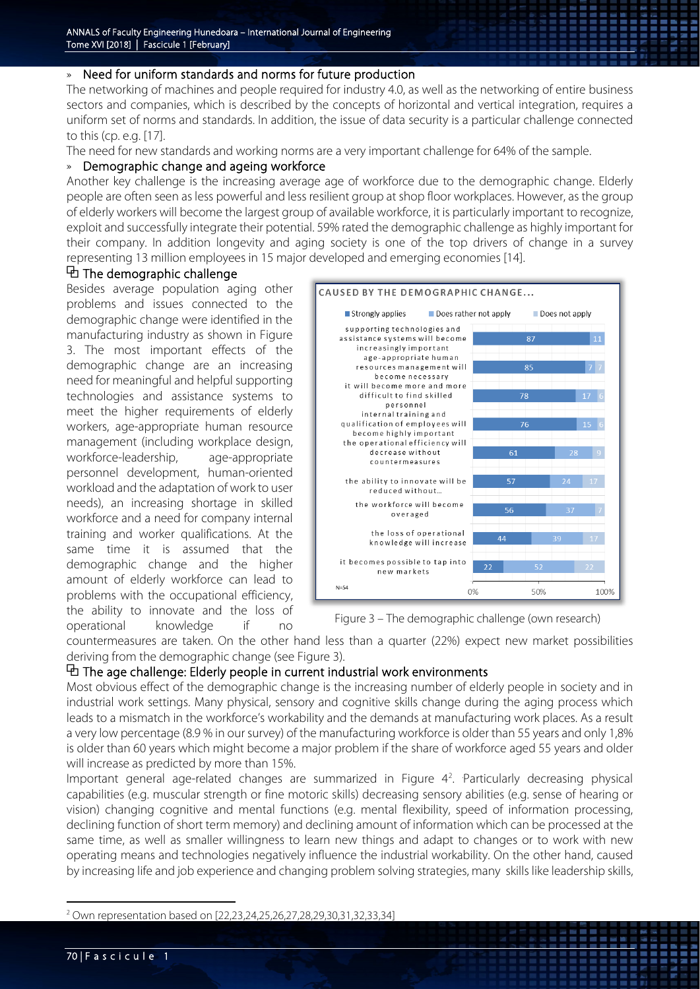### » Need for uniform standards and norms for future production

The networking of machines and people required for industry 4.0, as well as the networking of entire business sectors and companies, which is described by the concepts of horizontal and vertical integration, requires a uniform set of norms and standards. In addition, the issue of data security is a particular challenge connected to this (cp. e.g. [17].

The need for new standards and working norms are a very important challenge for 64% of the sample.

### » Demographic change and ageing workforce

Another key challenge is the increasing average age of workforce due to the demographic change. Elderly people are often seen as less powerful and less resilient group at shop floor workplaces. However, as the group of elderly workers will become the largest group of available workforce, it is particularly important to recognize, exploit and successfully integrate their potential. 59% rated the demographic challenge as highly important for their company. In addition longevity and aging society is one of the top drivers of change in a survey representing 13 million employees in 15 major developed and emerging economies [14].

### ⧉ The demographic challenge

Besides average population aging other problems and issues connected to the demographic change were identified in the manufacturing industry as shown in Figure 3. The most important effects of the demographic change are an increasing need for meaningful and helpful supporting technologies and assistance systems to meet the higher requirements of elderly workers, age-appropriate human resource management (including workplace design, workforce-leadership, age-appropriate personnel development, human-oriented workload and the adaptation of work to user needs), an increasing shortage in skilled workforce and a need for company internal training and worker qualifications. At the same time it is assumed that the demographic change and the higher amount of elderly workforce can lead to problems with the occupational efficiency, the ability to innovate and the loss of operational knowledge if no



Figure 3 – The demographic challenge (own research)

countermeasures are taken. On the other hand less than a quarter (22%) expect new market possibilities deriving from the demographic change (see Figure 3).

### ⧉ The age challenge: Elderly people in current industrial work environments

Most obvious effect of the demographic change is the increasing number of elderly people in society and in industrial work settings. Many physical, sensory and cognitive skills change during the aging process which leads to a mismatch in the workforce's workability and the demands at manufacturing work places. As a result a very low percentage (8.9 % in our survey) of the manufacturing workforce is older than 55 years and only 1,8% is older than 60 years which might become a major problem if the share of workforce aged 55 years and older will increase as predicted by more than 15%.

Important general age-related changes are summarized in Figure 4<sup>[2](#page-3-0)</sup>. Particularly decreasing physical capabilities (e.g. muscular strength or fine motoric skills) decreasing sensory abilities (e.g. sense of hearing or vision) changing cognitive and mental functions (e.g. mental flexibility, speed of information processing, declining function of short term memory) and declining amount of information which can be processed at the same time, as well as smaller willingness to learn new things and adapt to changes or to work with new operating means and technologies negatively influence the industrial workability. On the other hand, caused by increasing life and job experience and changing problem solving strategies, many skills like leadership skills,

<u>.</u>

<span id="page-3-0"></span><sup>&</sup>lt;sup>2</sup> Own representation based on [22,23,24,25,26,27,28,29,30,31,32,33,34]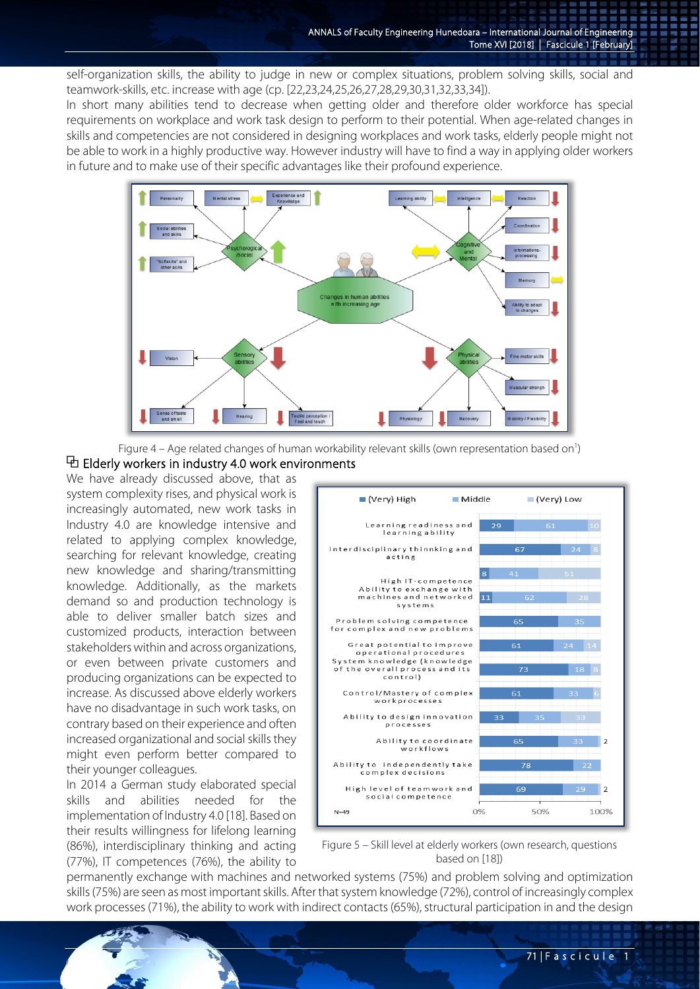self-organization skills, the ability to judge in new or complex situations, problem solving skills, social and teamwork-skills, etc. increase with age (cp. [22,23,24,25,26,27,28,29,30,31,32,33,34]).

In short many abilities tend to decrease when getting older and therefore older workforce has special requirements on workplace and work task design to perform to their potential. When age-related changes in skills and competencies are not considered in designing workplaces and work tasks, elderly people might not be able to work in a highly productive way. However industry will have to find a way in applying older workers in future and to make use of their specific advantages like their profound experience.



Figure 4 – Age related changes of human workability relevant skills (own representation based on<sup>1</sup>)

# $\Phi$  Elderly workers in industry 4.0 work environments

We have already discussed above, that as system complexity rises, and physical work is increasingly automated, new work tasks in Industry 4.0 are knowledge intensive and related to applying complex knowledge, searching for relevant knowledge, creating new knowledge and sharing/transmitting knowledge. Additionally, as the markets demand so and production technology is able to deliver smaller batch sizes and customized products, interaction between stakeholders within and across organizations, or even between private customers and producing organizations can be expected to increase. As discussed above elderly workers have no disadvantage in such work tasks, on contrary based on their experience and often increased organizational and social skills they might even perform better compared to their younger colleagues.

In 2014 a German study elaborated special skills and abilities needed for the implementation of Industry 4.0 [18]. Based on their results willingness for lifelong learning (86%), interdisciplinary thinking and acting (77%), IT competences (76%), the ability to



Figure 5 – Skill level at elderly workers (own research, questions based on [18])

permanently exchange with machines and networked systems (75%) and problem solving and optimization skills (75%) are seen as most important skills. After that system knowledge (72%), control of increasingly complex work processes (71%), the ability to work with indirect contacts (65%), structural participation in and the design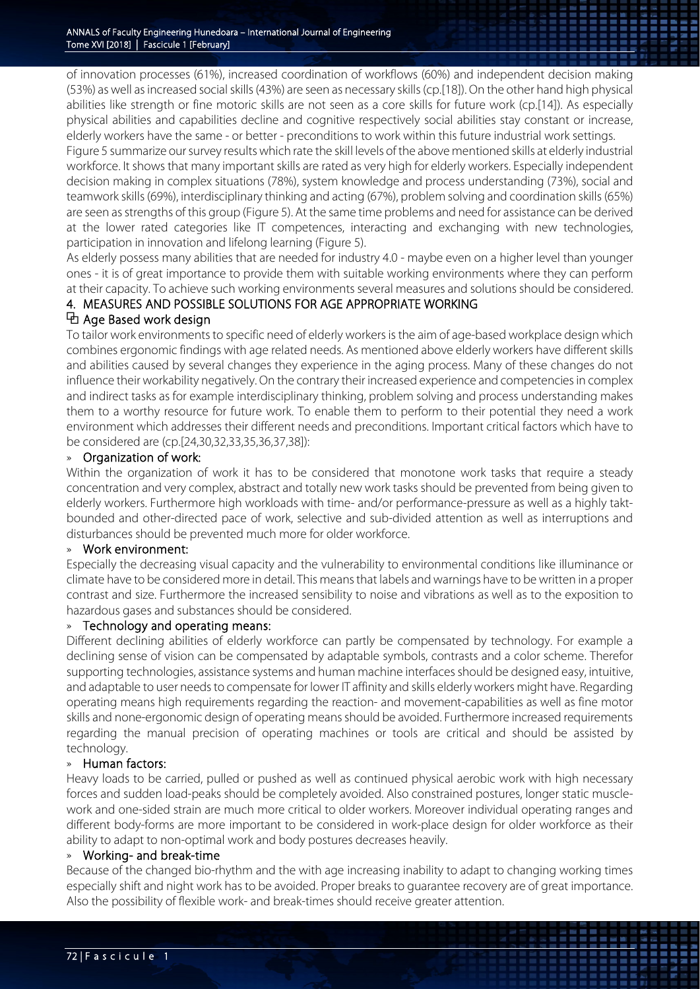of innovation processes (61%), increased coordination of workflows (60%) and independent decision making (53%) as well as increased social skills (43%) are seen as necessary skills (cp.[18]). On the other hand high physical abilities like strength or fine motoric skills are not seen as a core skills for future work (cp.[14]). As especially physical abilities and capabilities decline and cognitive respectively social abilities stay constant or increase, elderly workers have the same - or better - preconditions to work within this future industrial work settings.

Figure 5 summarize our survey results which rate the skill levels of the above mentioned skills at elderly industrial workforce. It shows that many important skills are rated as very high for elderly workers. Especially independent decision making in complex situations (78%), system knowledge and process understanding (73%), social and teamwork skills (69%), interdisciplinary thinking and acting (67%), problem solving and coordination skills (65%) are seen as strengths of this group (Figure 5). At the same time problems and need for assistance can be derived at the lower rated categories like IT competences, interacting and exchanging with new technologies, participation in innovation and lifelong learning (Figure 5).

As elderly possess many abilities that are needed for industry 4.0 - maybe even on a higher level than younger ones - it is of great importance to provide them with suitable working environments where they can perform at their capacity. To achieve such working environments several measures and solutions should be considered.

# 4. MEASURES AND POSSIBLE SOLUTIONS FOR AGE APPROPRIATE WORKING

# ⧉ Age Based work design

To tailor work environments to specific need of elderly workers is the aim of age-based workplace design which combines ergonomic findings with age related needs. As mentioned above elderly workers have different skills and abilities caused by several changes they experience in the aging process. Many of these changes do not influence their workability negatively. On the contrary their increased experience and competencies in complex and indirect tasks as for example interdisciplinary thinking, problem solving and process understanding makes them to a worthy resource for future work. To enable them to perform to their potential they need a work environment which addresses their different needs and preconditions. Important critical factors which have to be considered are (cp.[24,30,32,33,35,36,37,38]):

# » Organization of work:

Within the organization of work it has to be considered that monotone work tasks that require a steady concentration and very complex, abstract and totally new work tasks should be prevented from being given to elderly workers. Furthermore high workloads with time- and/or performance-pressure as well as a highly taktbounded and other-directed pace of work, selective and sub-divided attention as well as interruptions and disturbances should be prevented much more for older workforce.

### » Work environment:

Especially the decreasing visual capacity and the vulnerability to environmental conditions like illuminance or climate have to be considered more in detail. This means that labels and warnings have to be written in a proper contrast and size. Furthermore the increased sensibility to noise and vibrations as well as to the exposition to hazardous gases and substances should be considered.

### » Technology and operating means:

Different declining abilities of elderly workforce can partly be compensated by technology. For example a declining sense of vision can be compensated by adaptable symbols, contrasts and a color scheme. Therefor supporting technologies, assistance systems and human machine interfaces should be designed easy, intuitive, and adaptable to user needs to compensate for lower IT affinity and skills elderly workers might have. Regarding operating means high requirements regarding the reaction- and movement-capabilities as well as fine motor skills and none-ergonomic design of operating means should be avoided. Furthermore increased requirements regarding the manual precision of operating machines or tools are critical and should be assisted by technology.

### » Human factors:

Heavy loads to be carried, pulled or pushed as well as continued physical aerobic work with high necessary forces and sudden load-peaks should be completely avoided. Also constrained postures, longer static musclework and one-sided strain are much more critical to older workers. Moreover individual operating ranges and different body-forms are more important to be considered in work-place design for older workforce as their ability to adapt to non-optimal work and body postures decreases heavily.

### » Working- and break-time

Because of the changed bio-rhythm and the with age increasing inability to adapt to changing working times especially shift and night work has to be avoided. Proper breaks to guarantee recovery are of great importance. Also the possibility of flexible work- and break-times should receive greater attention.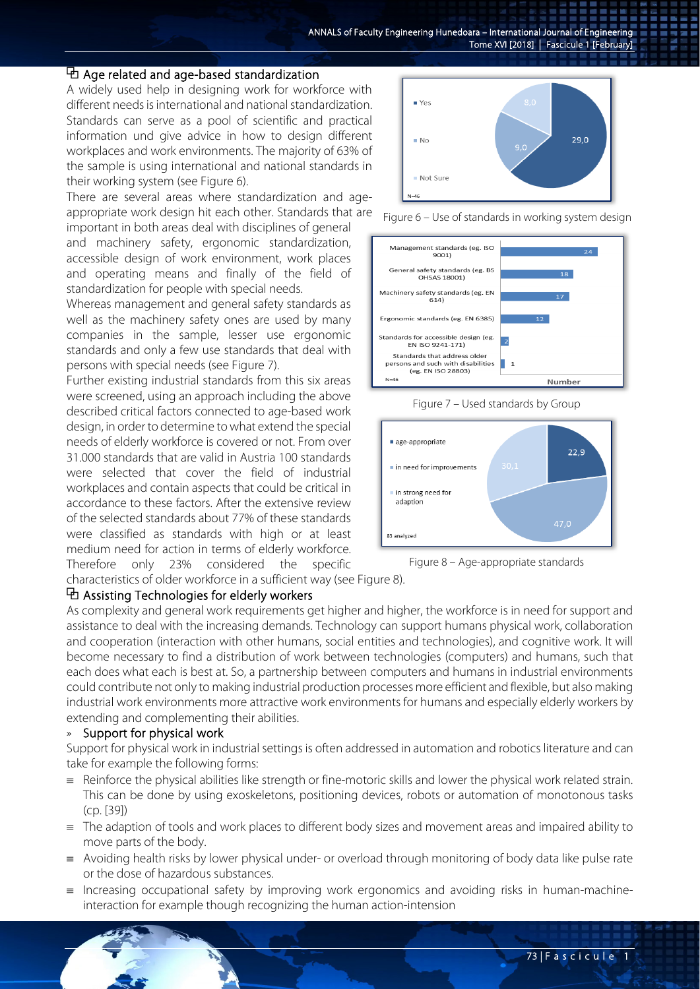### $\Phi$  Age related and age-based standardization

A widely used help in designing work for workforce with different needs is international and national standardization. Standards can serve as a pool of scientific and practical information und give advice in how to design different workplaces and work environments. The majority of 63% of the sample is using international and national standards in their working system (see Figure 6).

There are several areas where standardization and ageappropriate work design hit each other. Standards that are

important in both areas deal with disciplines of general and machinery safety, ergonomic standardization, accessible design of work environment, work places and operating means and finally of the field of standardization for people with special needs.

Whereas management and general safety standards as well as the machinery safety ones are used by many companies in the sample, lesser use ergonomic standards and only a few use standards that deal with persons with special needs (see Figure 7).

Further existing industrial standards from this six areas were screened, using an approach including the above described critical factors connected to age-based work design, in order to determine to what extend the special needs of elderly workforce is covered or not. From over 31.000 standards that are valid in Austria 100 standards were selected that cover the field of industrial workplaces and contain aspects that could be critical in accordance to these factors. After the extensive review of the selected standards about 77% of these standards were classified as standards with high or at least medium need for action in terms of elderly workforce. Therefore only 23% considered the specific



Figure 6 – Use of standards in working system design



Figure 7 – Used standards by Group



Figure 8 – Age-appropriate standards

characteristics of older workforce in a sufficient way (see Figure 8).

### ⧉ Assisting Technologies for elderly workers

As complexity and general work requirements get higher and higher, the workforce is in need for support and assistance to deal with the increasing demands. Technology can support humans physical work, collaboration and cooperation (interaction with other humans, social entities and technologies), and cognitive work. It will become necessary to find a distribution of work between technologies (computers) and humans, such that each does what each is best at. So, a partnership between computers and humans in industrial environments could contribute not only to making industrial production processes more efficient and flexible, but also making industrial work environments more attractive work environments for humans and especially elderly workers by extending and complementing their abilities.

#### » Support for physical work

Support for physical work in industrial settings is often addressed in automation and robotics literature and can take for example the following forms:

- ≡ Reinforce the physical abilities like strength or fine-motoric skills and lower the physical work related strain. This can be done by using exoskeletons, positioning devices, robots or automation of monotonous tasks (cp. [39])
- ≡ The adaption of tools and work places to different body sizes and movement areas and impaired ability to move parts of the body.
- ≡ Avoiding health risks by lower physical under- or overload through monitoring of body data like pulse rate or the dose of hazardous substances.
- Increasing occupational safety by improving work ergonomics and avoiding risks in human-machineinteraction for example though recognizing the human action-intension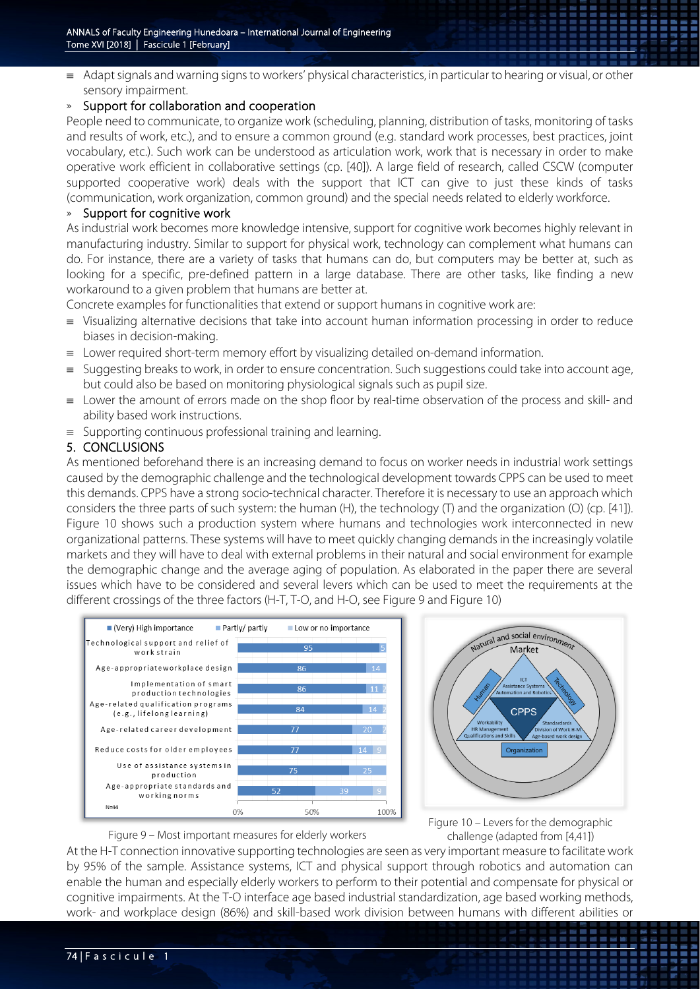≡ Adapt signals and warning signs to workers' physical characteristics, in particular to hearing or visual, or other sensory impairment.

# » Support for collaboration and cooperation

People need to communicate, to organize work (scheduling, planning, distribution of tasks, monitoring of tasks and results of work, etc.), and to ensure a common ground (e.g. standard work processes, best practices, joint vocabulary, etc.). Such work can be understood as articulation work, work that is necessary in order to make operative work efficient in collaborative settings (cp. [40]). A large field of research, called CSCW (computer supported cooperative work) deals with the support that ICT can give to just these kinds of tasks (communication, work organization, common ground) and the special needs related to elderly workforce.

# » Support for cognitive work

As industrial work becomes more knowledge intensive, support for cognitive work becomes highly relevant in manufacturing industry. Similar to support for physical work, technology can complement what humans can do. For instance, there are a variety of tasks that humans can do, but computers may be better at, such as looking for a specific, pre-defined pattern in a large database. There are other tasks, like finding a new workaround to a given problem that humans are better at.

Concrete examples for functionalities that extend or support humans in cognitive work are:

- ≡ Visualizing alternative decisions that take into account human information processing in order to reduce biases in decision-making.
- ≡ Lower required short-term memory effort by visualizing detailed on-demand information.
- Suggesting breaks to work, in order to ensure concentration. Such suggestions could take into account age, but could also be based on monitoring physiological signals such as pupil size.
- ≡ Lower the amount of errors made on the shop floor by real-time observation of the process and skill- and ability based work instructions.
- ≡ Supporting continuous professional training and learning.

# 5. CONCLUSIONS

As mentioned beforehand there is an increasing demand to focus on worker needs in industrial work settings caused by the demographic challenge and the technological development towards CPPS can be used to meet this demands. CPPS have a strong socio-technical character. Therefore it is necessary to use an approach which considers the three parts of such system: the human (H), the technology (T) and the organization (O) (cp. [41]). Figure 10 shows such a production system where humans and technologies work interconnected in new organizational patterns. These systems will have to meet quickly changing demands in the increasingly volatile markets and they will have to deal with external problems in their natural and social environment for example the demographic change and the average aging of population. As elaborated in the paper there are several issues which have to be considered and several levers which can be used to meet the requirements at the different crossings of the three factors (H-T, T-O, and H-O, see Figure 9 and Figure 10)



Figure 9 – Most important measures for elderly workers



Figure 10 – Levers for the demographic challenge (adapted from [4,41])

....

At the H-T connection innovative supporting technologies are seen as very important measure to facilitate work by 95% of the sample. Assistance systems, ICT and physical support through robotics and automation can enable the human and especially elderly workers to perform to their potential and compensate for physical or cognitive impairments. At the T-O interface age based industrial standardization, age based working methods, work- and workplace design (86%) and skill-based work division between humans with different abilities or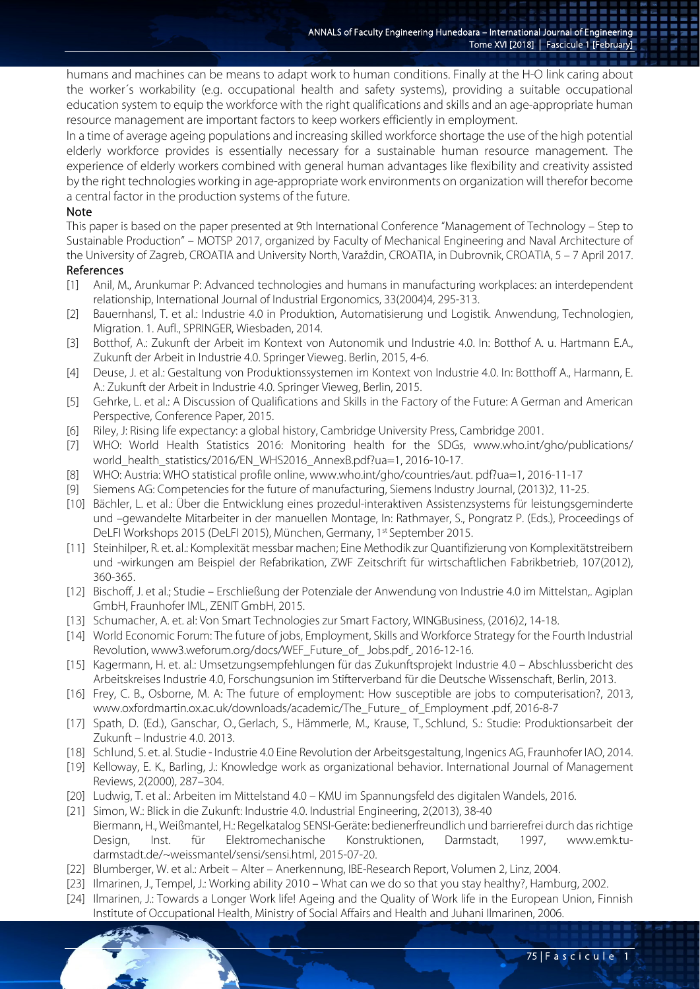humans and machines can be means to adapt work to human conditions. Finally at the H-O link caring about the worker´s workability (e.g. occupational health and safety systems), providing a suitable occupational education system to equip the workforce with the right qualifications and skills and an age-appropriate human resource management are important factors to keep workers efficiently in employment.

In a time of average ageing populations and increasing skilled workforce shortage the use of the high potential elderly workforce provides is essentially necessary for a sustainable human resource management. The experience of elderly workers combined with general human advantages like flexibility and creativity assisted by the right technologies working in age-appropriate work environments on organization will therefor become a central factor in the production systems of the future.

### Note

This paper is based on the paper presented at 9th International Conference "Management of Technology – Step to Sustainable Production" – MOTSP 2017, organized by Faculty of Mechanical Engineering and Naval Architecture of the University of Zagreb, CROATIA and University North, Varaždin, CROATIA, in Dubrovnik, CROATIA, 5 – 7 April 2017. References

- [1] Anil, M., Arunkumar P: Advanced technologies and humans in manufacturing workplaces: an interdependent relationship, International Journal of Industrial Ergonomics, 33(2004)4, 295-313.
- [2] Bauernhansl, T. et al.: Industrie 4.0 in Produktion, Automatisierung und Logistik. Anwendung, Technologien, Migration. 1. Aufl., SPRINGER, Wiesbaden, 2014.
- [3] Botthof, A.: Zukunft der Arbeit im Kontext von Autonomik und Industrie 4.0. In: Botthof A. u. Hartmann E.A., Zukunft der Arbeit in Industrie 4.0. Springer Vieweg. Berlin, 2015, 4-6.
- [4] Deuse, J. et al.: Gestaltung von Produktionssystemen im Kontext von Industrie 4.0. In: Botthoff A., Harmann, E. A.: Zukunft der Arbeit in Industrie 4.0. Springer Vieweg, Berlin, 2015.
- [5] Gehrke, L. et al.: A Discussion of Qualifications and Skills in the Factory of the Future: A German and American Perspective, Conference Paper, 2015.
- [6] Riley, J: Rising life expectancy: a global history, Cambridge University Press, Cambridge 2001.
- [7] WHO: World Health Statistics 2016: Monitoring health for the SDGs, www.who.int/gho/publications/ world\_health\_statistics/2016/EN\_WHS2016\_AnnexB.pdf?ua=1, 2016-10-17.
- [8] WHO: Austria: WHO statistical profile online, www.who.int/gho/countries/aut. pdf?ua=1, 2016-11-17
- [9] Siemens AG: Competencies for the future of manufacturing, Siemens Industry Journal, (2013)2, 11-25.
- [10] Bächler, L. et al.: Über die Entwicklung eines prozedul-interaktiven Assistenzsystems für leistungsgeminderte und –gewandelte Mitarbeiter in der manuellen Montage, In: Rathmayer, S., Pongratz P. (Eds.), Proceedings of DeLFI Workshops 2015 (DeLFI 2015), München, Germany, 1st September 2015.
- [11] Steinhilper, R. et. al.: Komplexität messbar machen; Eine Methodik zur Quantifizierung von Komplexitätstreibern und -wirkungen am Beispiel der Refabrikation, ZWF Zeitschrift für wirtschaftlichen Fabrikbetrieb, 107(2012), 360-365.
- [12] Bischoff, J. et al.; Studie Erschließung der Potenziale der Anwendung von Industrie 4.0 im Mittelstan,. Agiplan GmbH, Fraunhofer IML, ZENIT GmbH, 2015.
- [13] Schumacher, A. et. al: Von Smart Technologies zur Smart Factory, WINGBusiness, (2016)2, 14-18.
- [14] World Economic Forum: The future of jobs, Employment, Skills and Workforce Strategy for the Fourth Industrial Revolution, www3.weforum.org/docs/WEF\_Future\_of\_Jobs.pdf, 2016-12-16.
- [15] Kagermann, H. et. al.: Umsetzungsempfehlungen für das Zukunftsprojekt Industrie 4.0 Abschlussbericht des Arbeitskreises Industrie 4.0, Forschungsunion im Stifterverband für die Deutsche Wissenschaft, Berlin, 2013.
- [16] Frey, C. B., Osborne, M. A: The future of employment: How susceptible are jobs to computerisation?, 2013, www.oxfordmartin.ox.ac.uk/downloads/academic/The\_Future\_ of\_Employment .pdf, 2016-8-7
- [17] Spath, D. (Ed.), Ganschar, O., Gerlach, S., Hämmerle, M., Krause, T., Schlund, S.: Studie: Produktionsarbeit der Zukunft – Industrie 4.0. 2013.
- [18] Schlund, S. et. al. Studie Industrie 4.0 Eine Revolution der Arbeitsgestaltung, Ingenics AG, Fraunhofer IAO, 2014.
- [19] Kelloway, E. K., Barling, J.: Knowledge work as organizational behavior. International Journal of Management Reviews, 2(2000), 287–304.
- [20] Ludwig, T. et al.: Arbeiten im Mittelstand 4.0 KMU im Spannungsfeld des digitalen Wandels, 2016.
- [21] Simon, W.: Blick in die Zukunft: Industrie 4.0. Industrial Engineering, 2(2013), 38-40 Biermann, H., Weißmantel, H.: Regelkatalog SENSI-Geräte: bedienerfreundlich und barrierefrei durch das richtige Design, Inst. für Elektromechanische Konstruktionen, Darmstadt, 1997, www.emk.tudarmstadt.de/~weissmantel/sensi/sensi.html, 2015-07-20.
- [22] Blumberger, W. et al.: Arbeit Alter Anerkennung, IBE-Research Report, Volumen 2, Linz, 2004.
- [23] Ilmarinen, J., Tempel, J.: Working ability 2010 What can we do so that you stay healthy?, Hamburg, 2002.
- [24] Ilmarinen, J.: Towards a Longer Work life! Ageing and the Quality of Work life in the European Union, Finnish Institute of Occupational Health, Ministry of Social Affairs and Health and Juhani Ilmarinen, 2006.